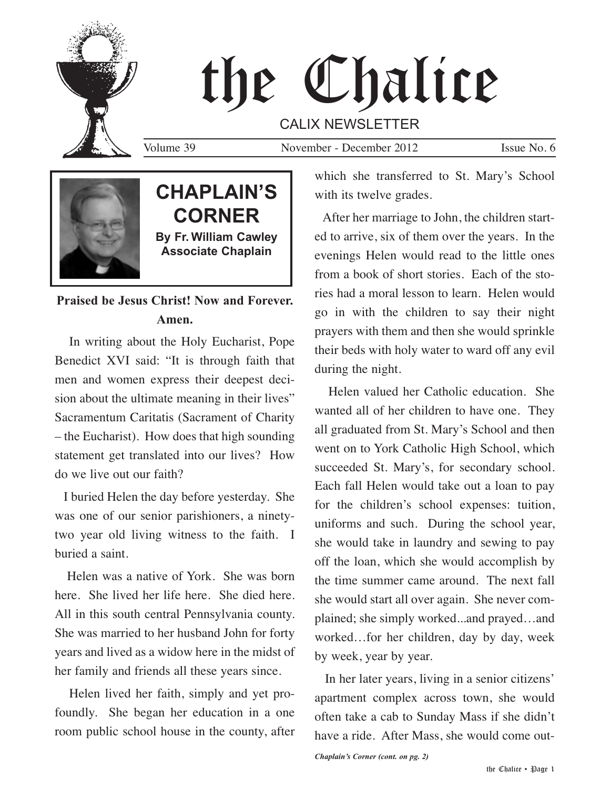

# the Chalice

CALIX NEWSLETTER

Volume 39 November - December 2012 Issue No. 6



# **Praised be Jesus Christ! Now and Forever. Amen.**

In writing about the Holy Eucharist, Pope Benedict XVI said: "It is through faith that men and women express their deepest decision about the ultimate meaning in their lives" Sacramentum Caritatis (Sacrament of Charity – the Eucharist). How does that high sounding statement get translated into our lives? How do we live out our faith?

I buried Helen the day before yesterday. She was one of our senior parishioners, a ninetytwo year old living witness to the faith. I buried a saint.

Helen was a native of York. She was born here. She lived her life here. She died here. All in this south central Pennsylvania county. She was married to her husband John for forty years and lived as a widow here in the midst of her family and friends all these years since.

Helen lived her faith, simply and yet profoundly. She began her education in a one room public school house in the county, after which she transferred to St. Mary's School with its twelve grades.

After her marriage to John, the children started to arrive, six of them over the years. In the evenings Helen would read to the little ones from a book of short stories. Each of the stories had a moral lesson to learn. Helen would go in with the children to say their night prayers with them and then she would sprinkle their beds with holy water to ward off any evil during the night.

Helen valued her Catholic education. She wanted all of her children to have one. They all graduated from St. Mary's School and then went on to York Catholic High School, which succeeded St. Mary's, for secondary school. Each fall Helen would take out a loan to pay for the children's school expenses: tuition, uniforms and such. During the school year, she would take in laundry and sewing to pay off the loan, which she would accomplish by the time summer came around. The next fall she would start all over again. She never complained; she simply worked...and prayed…and worked…for her children, day by day, week by week, year by year.

In her later years, living in a senior citizens' apartment complex across town, she would often take a cab to Sunday Mass if she didn't have a ride. After Mass, she would come out-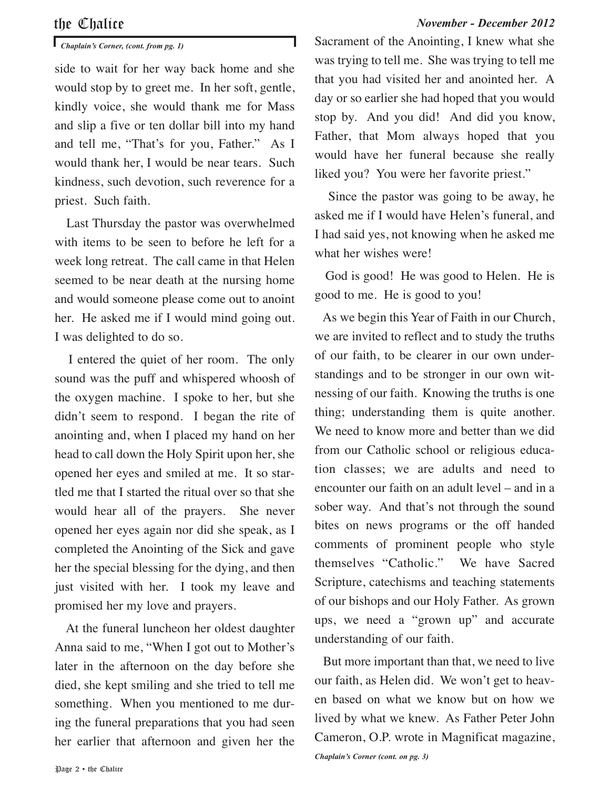### the Chalice *November - December 2012*

side to wait for her way back home and she would stop by to greet me. In her soft, gentle, kindly voice, she would thank me for Mass and slip a five or ten dollar bill into my hand and tell me, "That's for you, Father." As I would thank her, I would be near tears. Such kindness, such devotion, such reverence for a priest. Such faith.

Last Thursday the pastor was overwhelmed with items to be seen to before he left for a week long retreat. The call came in that Helen seemed to be near death at the nursing home and would someone please come out to anoint her. He asked me if I would mind going out. I was delighted to do so.

I entered the quiet of her room. The only sound was the puff and whispered whoosh of the oxygen machine. I spoke to her, but she didn't seem to respond. I began the rite of anointing and, when I placed my hand on her head to call down the Holy Spirit upon her, she opened her eyes and smiled at me. It so startled me that I started the ritual over so that she would hear all of the prayers. She never opened her eyes again nor did she speak, as I completed the Anointing of the Sick and gave her the special blessing for the dying, and then just visited with her. I took my leave and promised her my love and prayers.

At the funeral luncheon her oldest daughter Anna said to me, "When I got out to Mother's later in the afternoon on the day before she died, she kept smiling and she tried to tell me something. When you mentioned to me during the funeral preparations that you had seen her earlier that afternoon and given her the

*Chaplain's Corner, (cont. from pg. 1)* Sacrament of the Anointing, I knew what she was trying to tell me. She was trying to tell me that you had visited her and anointed her. A day or so earlier she had hoped that you would stop by. And you did! And did you know, Father, that Mom always hoped that you would have her funeral because she really liked you? You were her favorite priest."

> Since the pastor was going to be away, he asked me if I would have Helen's funeral, and I had said yes, not knowing when he asked me what her wishes were!

> God is good! He was good to Helen. He is good to me. He is good to you!

> As we begin this Year of Faith in our Church, we are invited to reflect and to study the truths of our faith, to be clearer in our own understandings and to be stronger in our own witnessing of our faith. Knowing the truths is one thing; understanding them is quite another. We need to know more and better than we did from our Catholic school or religious education classes; we are adults and need to encounter our faith on an adult level – and in a sober way. And that's not through the sound bites on news programs or the off handed comments of prominent people who style themselves "Catholic." We have Sacred Scripture, catechisms and teaching statements of our bishops and our Holy Father. As grown ups, we need a "grown up" and accurate understanding of our faith.

> But more important than that, we need to live our faith, as Helen did. We won't get to heaven based on what we know but on how we lived by what we knew. As Father Peter John Cameron, O.P. wrote in Magnificat magazine,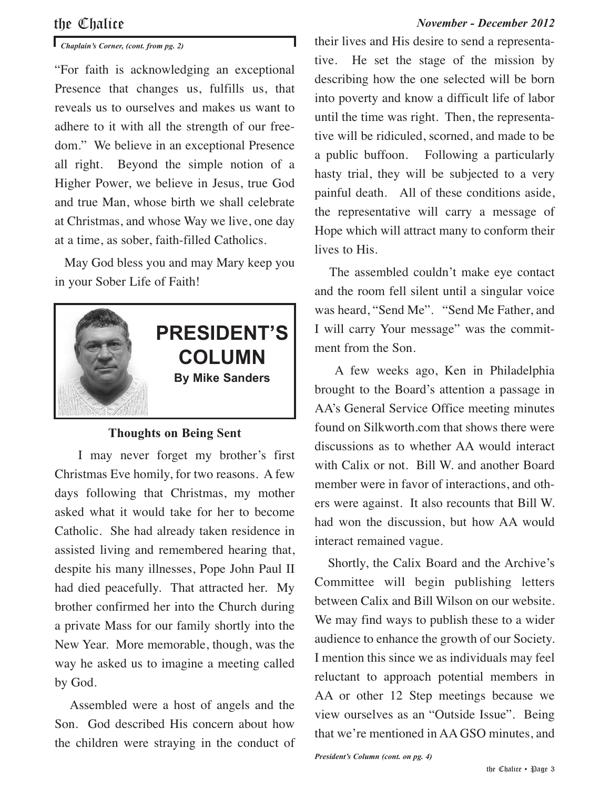## the Chalice *November - December 2012*

# *Chaplain's Corner, (cont. from pg. 2)*

"For faith is acknowledging an exceptional Presence that changes us, fulfills us, that reveals us to ourselves and makes us want to adhere to it with all the strength of our freedom." We believe in an exceptional Presence all right. Beyond the simple notion of a Higher Power, we believe in Jesus, true God and true Man, whose birth we shall celebrate at Christmas, and whose Way we live, one day at a time, as sober, faith-filled Catholics.

May God bless you and may Mary keep you in your Sober Life of Faith!



### **Thoughts on Being Sent**

I may never forget my brother's first Christmas Eve homily, for two reasons. A few days following that Christmas, my mother asked what it would take for her to become Catholic. She had already taken residence in assisted living and remembered hearing that, despite his many illnesses, Pope John Paul II had died peacefully. That attracted her. My brother confirmed her into the Church during a private Mass for our family shortly into the New Year. More memorable, though, was the way he asked us to imagine a meeting called by God.

Assembled were a host of angels and the Son. God described His concern about how the children were straying in the conduct of their lives and His desire to send a representative. He set the stage of the mission by describing how the one selected will be born into poverty and know a difficult life of labor until the time was right. Then, the representative will be ridiculed, scorned, and made to be a public buffoon. Following a particularly hasty trial, they will be subjected to a very painful death. All of these conditions aside, the representative will carry a message of Hope which will attract many to conform their lives to His.

The assembled couldn't make eye contact and the room fell silent until a singular voice was heard, "Send Me". "Send Me Father, and I will carry Your message" was the commitment from the Son.

A few weeks ago, Ken in Philadelphia brought to the Board's attention a passage in AA's General Service Office meeting minutes found on Silkworth.com that shows there were discussions as to whether AA would interact with Calix or not. Bill W. and another Board member were in favor of interactions, and others were against. It also recounts that Bill W. had won the discussion, but how AA would interact remained vague.

Shortly, the Calix Board and the Archive's Committee will begin publishing letters between Calix and Bill Wilson on our website. We may find ways to publish these to a wider audience to enhance the growth of our Society. I mention this since we as individuals may feel reluctant to approach potential members in AA or other 12 Step meetings because we view ourselves as an "Outside Issue". Being that we're mentioned in AA GSO minutes, and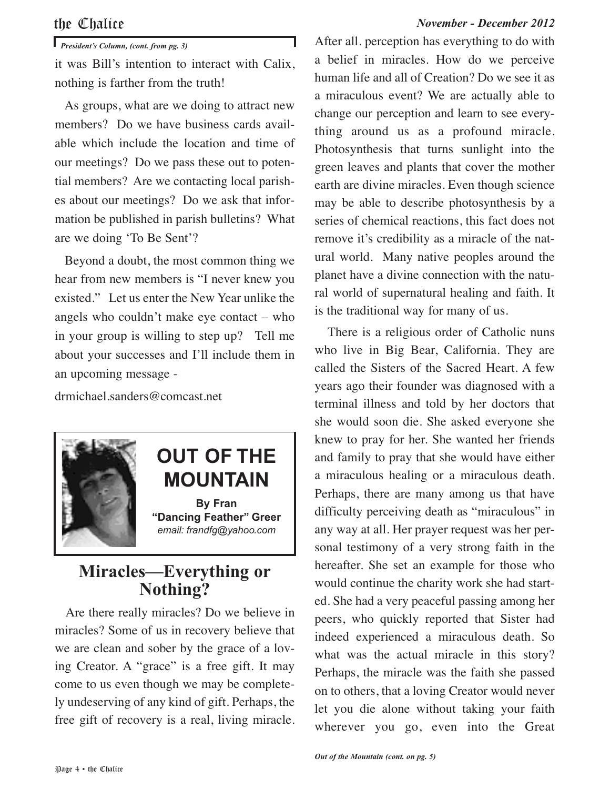### the Chalice *November - December 2012*

*President's Column, (cont. from pg. 3)*

it was Bill's intention to interact with Calix, nothing is farther from the truth!

As groups, what are we doing to attract new members? Do we have business cards available which include the location and time of our meetings? Do we pass these out to potential members? Are we contacting local parishes about our meetings? Do we ask that information be published in parish bulletins? What are we doing 'To Be Sent'?

Beyond a doubt, the most common thing we hear from new members is "I never knew you existed." Let us enter the New Year unlike the angels who couldn't make eye contact – who in your group is willing to step up? Tell me about your successes and I'll include them in an upcoming message -

drmichael.sanders@comcast.net



# **OUT OF THE MOUNTAIN**

**By Fran "Dancing Feather" Greer** *email: frandfg@yahoo.com*

# **Miracles—Everything or Nothing?**

Are there really miracles? Do we believe in miracles? Some of us in recovery believe that we are clean and sober by the grace of a loving Creator. A "grace" is a free gift. It may come to us even though we may be completely undeserving of any kind of gift. Perhaps, the free gift of recovery is a real, living miracle. After all. perception has everything to do with a belief in miracles. How do we perceive human life and all of Creation? Do we see it as a miraculous event? We are actually able to change our perception and learn to see everything around us as a profound miracle. Photosynthesis that turns sunlight into the green leaves and plants that cover the mother earth are divine miracles. Even though science may be able to describe photosynthesis by a series of chemical reactions, this fact does not remove it's credibility as a miracle of the natural world. Many native peoples around the planet have a divine connection with the natural world of supernatural healing and faith. It is the traditional way for many of us.

There is a religious order of Catholic nuns who live in Big Bear, California. They are called the Sisters of the Sacred Heart. A few years ago their founder was diagnosed with a terminal illness and told by her doctors that she would soon die. She asked everyone she knew to pray for her. She wanted her friends and family to pray that she would have either a miraculous healing or a miraculous death. Perhaps, there are many among us that have difficulty perceiving death as "miraculous" in any way at all. Her prayer request was her personal testimony of a very strong faith in the hereafter. She set an example for those who would continue the charity work she had started. She had a very peaceful passing among her peers, who quickly reported that Sister had indeed experienced a miraculous death. So what was the actual miracle in this story? Perhaps, the miracle was the faith she passed on to others, that a loving Creator would never let you die alone without taking your faith wherever you go, even into the Great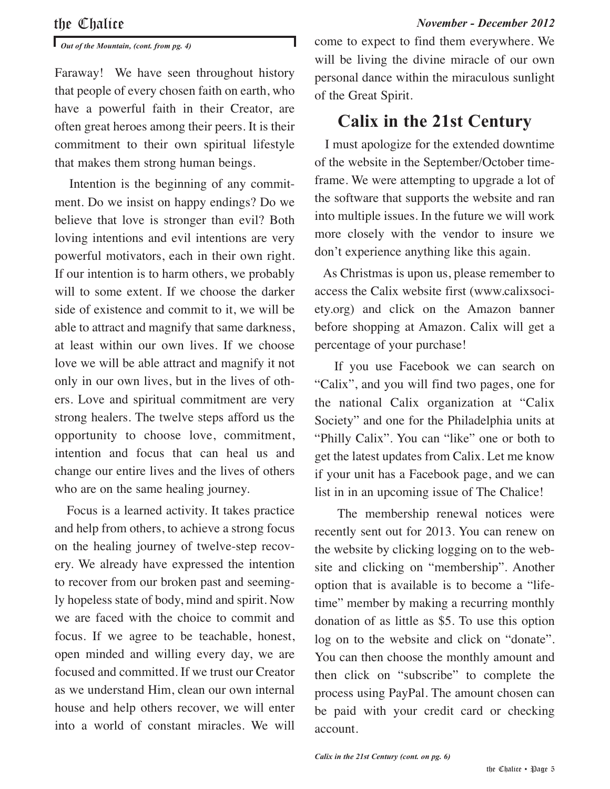*Out of the Mountain, (cont. from pg. 4)*

Faraway! We have seen throughout history that people of every chosen faith on earth, who have a powerful faith in their Creator, are often great heroes among their peers. It is their commitment to their own spiritual lifestyle that makes them strong human beings.

Intention is the beginning of any commitment. Do we insist on happy endings? Do we believe that love is stronger than evil? Both loving intentions and evil intentions are very powerful motivators, each in their own right. If our intention is to harm others, we probably will to some extent. If we choose the darker side of existence and commit to it, we will be able to attract and magnify that same darkness, at least within our own lives. If we choose love we will be able attract and magnify it not only in our own lives, but in the lives of others. Love and spiritual commitment are very strong healers. The twelve steps afford us the opportunity to choose love, commitment, intention and focus that can heal us and change our entire lives and the lives of others who are on the same healing journey.

Focus is a learned activity. It takes practice and help from others, to achieve a strong focus on the healing journey of twelve-step recovery. We already have expressed the intention to recover from our broken past and seemingly hopeless state of body, mind and spirit. Now we are faced with the choice to commit and focus. If we agree to be teachable, honest, open minded and willing every day, we are focused and committed. If we trust our Creator as we understand Him, clean our own internal house and help others recover, we will enter into a world of constant miracles. We will come to expect to find them everywhere. We will be living the divine miracle of our own personal dance within the miraculous sunlight of the Great Spirit.

# **Calix in the 21st Century**

I must apologize for the extended downtime of the website in the September/October timeframe. We were attempting to upgrade a lot of the software that supports the website and ran into multiple issues. In the future we will work more closely with the vendor to insure we don't experience anything like this again.

As Christmas is upon us, please remember to access the Calix website first (www.calixsociety.org) and click on the Amazon banner before shopping at Amazon. Calix will get a percentage of your purchase!

If you use Facebook we can search on "Calix", and you will find two pages, one for the national Calix organization at "Calix Society" and one for the Philadelphia units at "Philly Calix". You can "like" one or both to get the latest updates from Calix. Let me know if your unit has a Facebook page, and we can list in in an upcoming issue of The Chalice!

The membership renewal notices were recently sent out for 2013. You can renew on the website by clicking logging on to the website and clicking on "membership". Another option that is available is to become a "lifetime" member by making a recurring monthly donation of as little as \$5. To use this option log on to the website and click on "donate". You can then choose the monthly amount and then click on "subscribe" to complete the process using PayPal. The amount chosen can be paid with your credit card or checking account.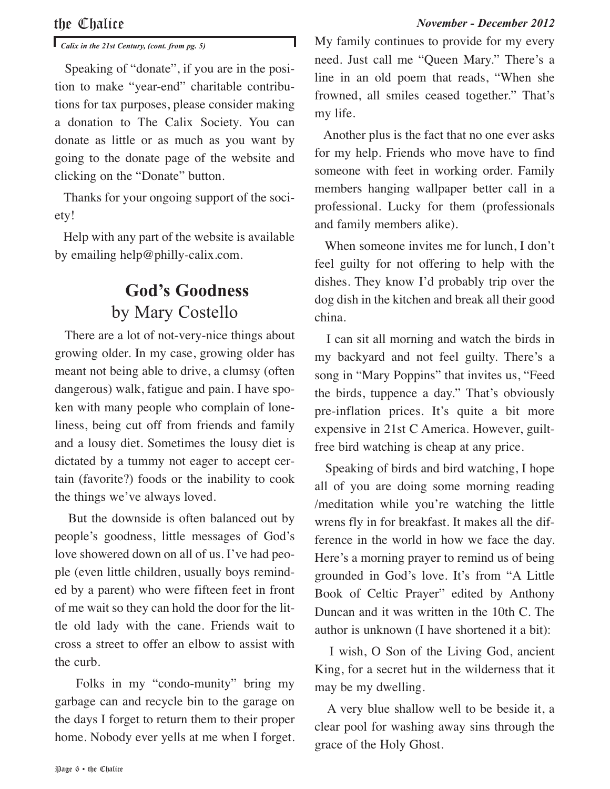*Calix in the 21st Century, (cont. from pg. 5)*

Speaking of "donate", if you are in the position to make "year-end" charitable contributions for tax purposes, please consider making a donation to The Calix Society. You can donate as little or as much as you want by going to the donate page of the website and clicking on the "Donate" button.

Thanks for your ongoing support of the society!

Help with any part of the website is available by emailing help@philly-calix.com.

# **God's Goodness** by Mary Costello

There are a lot of not-very-nice things about growing older. In my case, growing older has meant not being able to drive, a clumsy (often dangerous) walk, fatigue and pain. I have spoken with many people who complain of loneliness, being cut off from friends and family and a lousy diet. Sometimes the lousy diet is dictated by a tummy not eager to accept certain (favorite?) foods or the inability to cook the things we've always loved.

But the downside is often balanced out by people's goodness, little messages of God's love showered down on all of us. I've had people (even little children, usually boys reminded by a parent) who were fifteen feet in front of me wait so they can hold the door for the little old lady with the cane. Friends wait to cross a street to offer an elbow to assist with the curb.

Folks in my "condo-munity" bring my garbage can and recycle bin to the garage on the days I forget to return them to their proper home. Nobody ever yells at me when I forget. My family continues to provide for my every need. Just call me "Queen Mary." There's a line in an old poem that reads, "When she frowned, all smiles ceased together." That's my life.

Another plus is the fact that no one ever asks for my help. Friends who move have to find someone with feet in working order. Family members hanging wallpaper better call in a professional. Lucky for them (professionals and family members alike).

When someone invites me for lunch, I don't feel guilty for not offering to help with the dishes. They know I'd probably trip over the dog dish in the kitchen and break all their good china.

I can sit all morning and watch the birds in my backyard and not feel guilty. There's a song in "Mary Poppins" that invites us, "Feed the birds, tuppence a day." That's obviously pre-inflation prices. It's quite a bit more expensive in 21st C America. However, guiltfree bird watching is cheap at any price.

Speaking of birds and bird watching, I hope all of you are doing some morning reading /meditation while you're watching the little wrens fly in for breakfast. It makes all the difference in the world in how we face the day. Here's a morning prayer to remind us of being grounded in God's love. It's from "A Little Book of Celtic Prayer" edited by Anthony Duncan and it was written in the 10th C. The author is unknown (I have shortened it a bit):

I wish, O Son of the Living God, ancient King, for a secret hut in the wilderness that it may be my dwelling.

A very blue shallow well to be beside it, a clear pool for washing away sins through the grace of the Holy Ghost.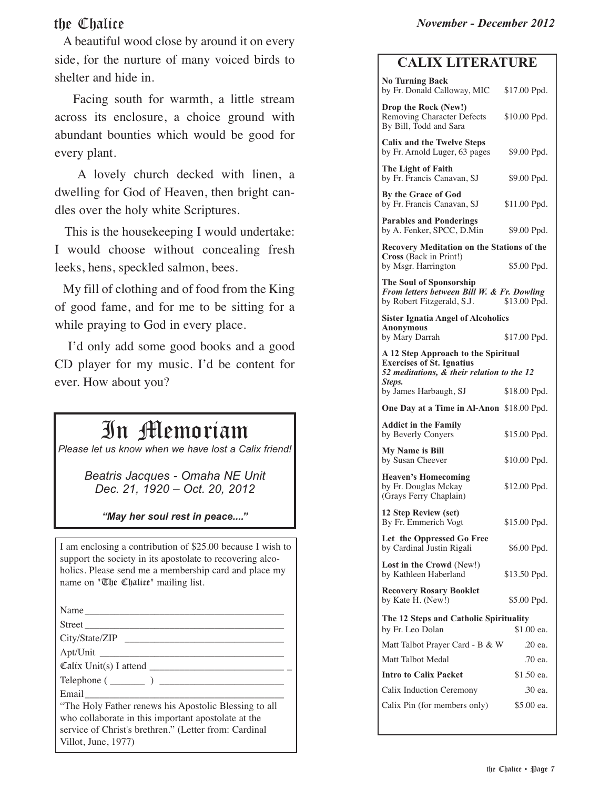A beautiful wood close by around it on every side, for the nurture of many voiced birds to shelter and hide in.

Facing south for warmth, a little stream across its enclosure, a choice ground with abundant bounties which would be good for every plant.

A lovely church decked with linen, a dwelling for God of Heaven, then bright candles over the holy white Scriptures.

This is the housekeeping I would undertake: I would choose without concealing fresh leeks, hens, speckled salmon, bees.

My fill of clothing and of food from the King of good fame, and for me to be sitting for a while praying to God in every place.

I'd only add some good books and a good CD player for my music. I'd be content for ever. How about you?

# In Memoriam

*Please let us know when we have lost a Calix friend!*

*Beatris Jacques - Omaha NE Unit Dec. 21, 1920 – Oct. 20, 2012*

*"May her soul rest in peace...."*

I am enclosing a contribution of \$25.00 because I wish to support the society in its apostolate to recovering alcoholics. Please send me a membership card and place my name on "The Chalice" mailing list.

Name

Street \_\_\_\_\_\_\_\_\_\_\_\_\_\_\_\_\_\_\_\_\_\_\_\_\_\_\_\_\_\_\_\_\_\_\_\_\_\_\_\_ City/State/ZIP \_\_\_\_\_\_\_\_\_\_\_\_\_\_\_\_\_\_\_\_\_\_\_\_\_\_\_\_\_\_\_\_

Apt/Unit \_\_\_\_\_\_\_\_\_\_\_\_\_\_\_\_\_\_\_\_\_\_\_\_\_\_\_\_\_\_\_\_\_\_\_\_\_ Calix Unit(s) I attend \_\_\_\_\_\_\_\_\_\_\_\_\_\_\_\_\_\_\_\_\_\_\_\_\_\_\_ \_

 $\text{Telephone} \left( \begin{array}{ccc} 0 & 1 \\ -0 & 1 \end{array} \right)$ 

Email

"The Holy Father renews his Apostolic Blessing to all who collaborate in this important apostolate at the service of Christ's brethren." (Letter from: Cardinal Villot, June, 1977)

# **CALIX LITERATURE**

| <b>No Turning Back</b>                                                                                                |                       |
|-----------------------------------------------------------------------------------------------------------------------|-----------------------|
| by Fr. Donald Calloway, MIC \$17.00 Ppd.                                                                              |                       |
| Drop the Rock (New!)<br>Removing Character Defects<br>By Bill, Todd and Sara                                          | \$10.00 Ppd.          |
| <b>Calix and the Twelve Steps</b><br>by Fr. Arnold Luger, 63 pages                                                    | \$9.00 Ppd.           |
| The Light of Faith<br>by Fr. Francis Canavan, SJ                                                                      | \$9.00 Ppd.           |
| By the Grace of God<br>by Fr. Francis Canavan, SJ                                                                     | \$11.00 Ppd.          |
| <b>Parables and Ponderings</b><br>by A. Fenker, SPCC, D.Min                                                           | \$9.00 Ppd.           |
| Recovery Meditation on the Stations of the                                                                            |                       |
| Cross (Back in Print!)<br>by Msgr. Harrington                                                                         | \$5.00 Ppd.           |
| The Soul of Sponsorship<br>From letters between Bill W. & Fr. Dowling<br>by Robert Fitzgerald, S.J.<br>\$13.00 Ppd.   |                       |
| <b>Sister Ignatia Angel of Alcoholics</b><br><b>Anonymous</b>                                                         |                       |
| by Mary Darrah                                                                                                        | \$17.00 Ppd.          |
| A 12 Step Approach to the Spiritual<br><b>Exercises of St. Ignatius</b><br>52 meditations, & their relation to the 12 |                       |
| Steps.<br>by James Harbaugh, SJ                                                                                       | \$18.00 Ppd.          |
| One Day at a Time in Al-Anon \$18.00 Ppd.                                                                             |                       |
| <b>Addict in the Family</b><br>by Beverly Conyers                                                                     | \$15.00 Ppd.          |
| <b>My Name is Bill</b><br>by Susan Cheever                                                                            | \$10.00 Ppd.          |
| <b>Heaven's Homecoming</b><br>by Fr. Douglas Mckay<br>(Grays Ferry Chaplain)                                          | \$12.00 Ppd.          |
| 12 Step Review (set)<br>By Fr. Emmerich Vogt                                                                          | \$15.00 Ppd.          |
| Let the Oppressed Go Free<br>by Cardinal Justin Rigali                                                                | \$6.00 Ppd.           |
| Lost in the Crowd (New!)<br>by Kathleen Haberland                                                                     | \$13.50 Ppd.          |
| <b>Recovery Rosary Booklet</b><br>by Kate H. (New!)                                                                   | \$5.00 Ppd.           |
| The 12 Steps and Catholic Spirituality                                                                                |                       |
|                                                                                                                       |                       |
| by Fr. Leo Dolan                                                                                                      | \$1.00 ea.            |
| Matt Talbot Prayer Card - B & W                                                                                       | .20 ea.               |
| Matt Talbot Medal                                                                                                     | .70 ea.               |
| <b>Intro to Calix Packet</b>                                                                                          | \$1.50 ea.            |
| Calix Induction Ceremony<br>Calix Pin (for members only)                                                              | .30 ea.<br>\$5.00 ea. |